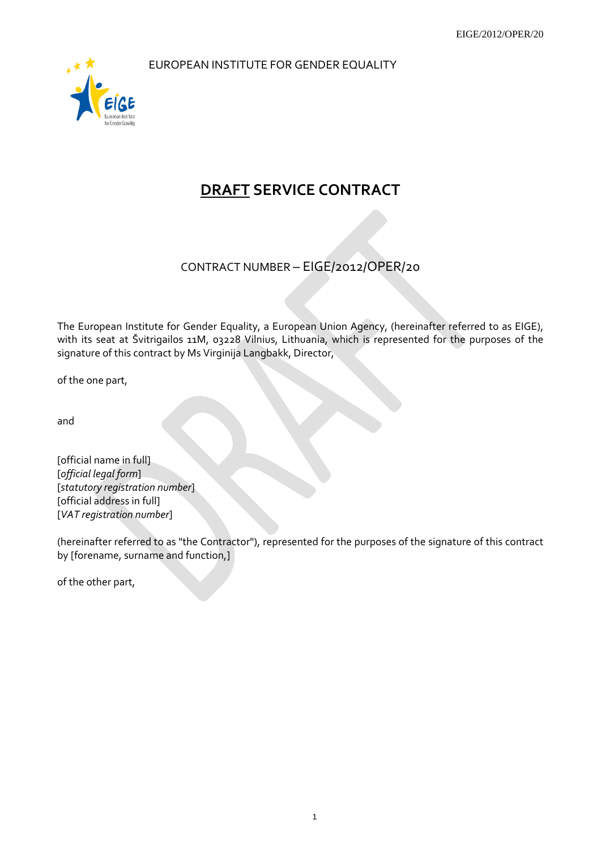EUROPEAN INSTITUTE FOR GENDER EQUALITY



# **DRAFT SERVICE CONTRACT**

CONTRACT NUMBER – EIGE/2012/OPER/20

The European Institute for Gender Equality, a European Union Agency, (hereinafter referred to as EIGE), with its seat at Švitrigailos 11M, 03228 Vilnius, Lithuania, which is represented for the purposes of the signature of this contract by Ms Virginija Langbakk, Director,

of the one part,

and

[official name in full] [*official legal form*] [*statutory registration number*] [official address in full] [*VAT registration number*]

(hereinafter referred to as "the Contractor"), represented for the purposes of the signature of this contract by [forename, surname and function,]

of the other part,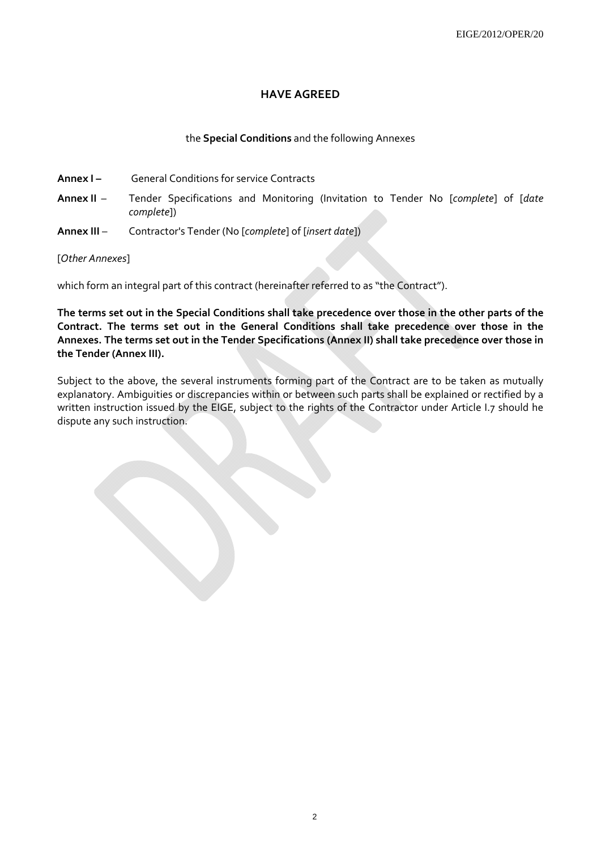# **HAVE AGREED**

## the **Special Conditions** and the following Annexes

- **Annex I** General Conditions for service Contracts
- **Annex II**  Tender Specifications and Monitoring (Invitation to Tender No [*complete*] of [*date complete*])
- **Annex III**  Contractor's Tender (No [*complete*] of [*insert date*])

## [*Other Annexes*]

which form an integral part of this contract (hereinafter referred to as "the Contract").

**The terms set out in the Special Conditions shall take precedence over those in the other parts of the Contract. The terms set out in the General Conditions shall take precedence over those in the Annexes. The terms set out in the Tender Specifications (Annex II) shall take precedence over those in the Tender (Annex III).** 

Subject to the above, the several instruments forming part of the Contract are to be taken as mutually explanatory. Ambiguities or discrepancies within or between such parts shall be explained or rectified by a written instruction issued by the EIGE, subject to the rights of the Contractor under Article I.7 should he dispute any such instruction.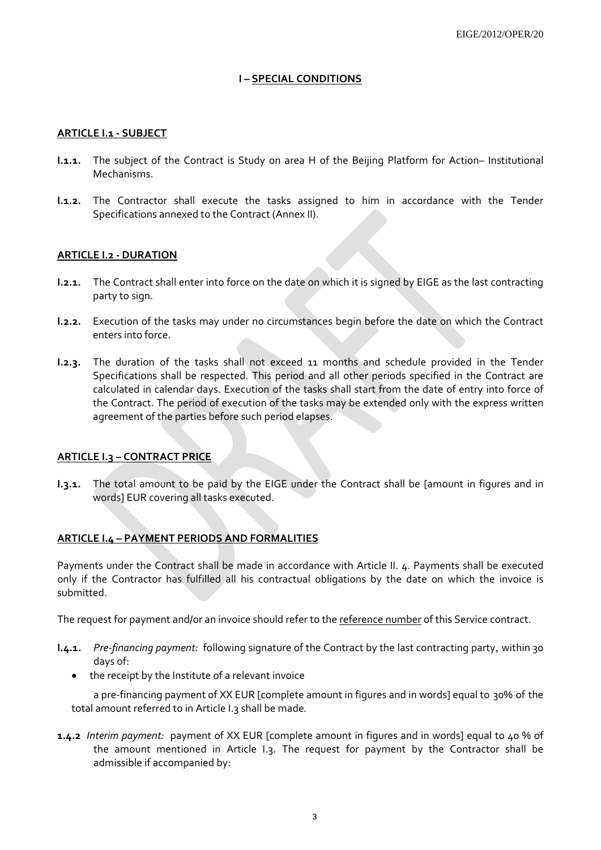# **I – SPECIAL CONDITIONS**

#### **ARTICLE I.1 - SUBJECT**

- **I.1.1.** The subject of the Contract is Study on area H of the Beijing Platform for Action– Institutional Mechanisms.
- **I.1.2.** The Contractor shall execute the tasks assigned to him in accordance with the Tender Specifications annexed to the Contract (Annex II).

## **ARTICLE I.2 - DURATION**

- **I.2.1.** The Contract shall enter into force on the date on which it is signed by EIGE as the last contracting party to sign.
- **I.2.2.** Execution of the tasks may under no circumstances begin before the date on which the Contract enters into force.
- **I.2.3.** The duration of the tasks shall not exceed 11 months and schedule provided in the Tender Specifications shall be respected. This period and all other periods specified in the Contract are calculated in calendar days. Execution of the tasks shall start from the date of entry into force of the Contract. The period of execution of the tasks may be extended only with the express written agreement of the parties before such period elapses.

# **ARTICLE I.3 – CONTRACT PRICE**

**I.3.1***.* The total amount to be paid by the EIGE under the Contract shall be [amount in figures and in words] EUR covering all tasks executed.

#### **ARTICLE I.4 – PAYMENT PERIODS AND FORMALITIES**

Payments under the Contract shall be made in accordance with Article II. 4. Payments shall be executed only if the Contractor has fulfilled all his contractual obligations by the date on which the invoice is submitted.

The request for payment and/or an invoice should refer to the reference number of this Service contract.

- **I.4.1***. Pre-financing payment:* following signature of the Contract by the last contracting party, within 30 days of:
	- the receipt by the Institute of a relevant invoice

a pre-financing payment of XX EUR [complete amount in figures and in words] equal to 30% of the total amount referred to in Article I.3 shall be made*.*

**1.4.2** *Interim payment:* payment of XX EUR [complete amount in figures and in words] equal to 40 % of the amount mentioned in Article I.3. The request for payment by the Contractor shall be admissible if accompanied by: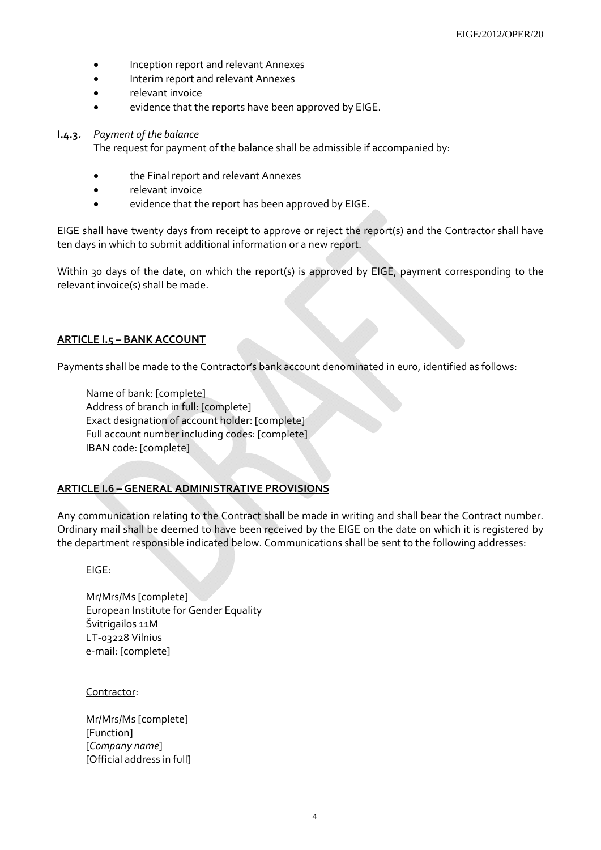- Inception report and relevant Annexes
- Interim report and relevant Annexes
- relevant invoice
- evidence that the reports have been approved by EIGE.

#### **I.4.3***. Payment of the balance*

The request for payment of the balance shall be admissible if accompanied by:

- the Final report and relevant Annexes
- relevant invoice
- evidence that the report has been approved by EIGE.

EIGE shall have twenty days from receipt to approve or reject the report(s) and the Contractor shall have ten days in which to submit additional information or a new report.

Within 30 days of the date, on which the report(s) is approved by EIGE, payment corresponding to the relevant invoice(s) shall be made.

## **ARTICLE I.5 – BANK ACCOUNT**

Payments shall be made to the Contractor's bank account denominated in euro, identified as follows:

Name of bank: [complete] Address of branch in full: [complete] Exact designation of account holder: [complete] Full account number including codes: [complete] IBAN code: [complete]

# **ARTICLE I.6 – GENERAL ADMINISTRATIVE PROVISIONS**

Any communication relating to the Contract shall be made in writing and shall bear the Contract number. Ordinary mail shall be deemed to have been received by the EIGE on the date on which it is registered by the department responsible indicated below. Communications shall be sent to the following addresses:

EIGE:

Mr/Mrs/Ms [complete] European Institute for Gender Equality Švitrigailos 11M LT-03228 Vilnius e-mail: [complete]

Contractor:

Mr/Mrs/Ms [complete] [Function] [*Company name*] [Official address in full]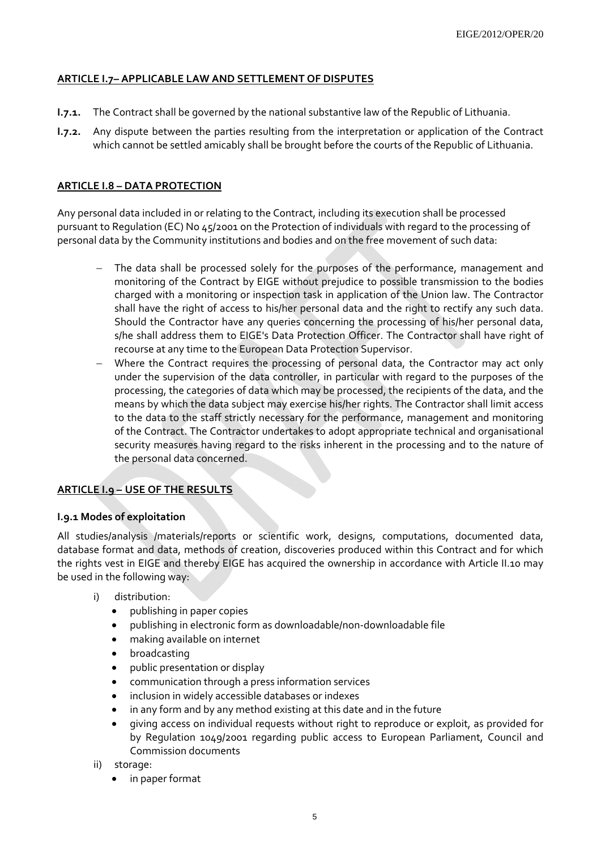# **ARTICLE I.7– APPLICABLE LAW AND SETTLEMENT OF DISPUTES**

- **I.7.1.** The Contract shall be governed by the national substantive law of the Republic of Lithuania.
- **I.7.2.** Any dispute between the parties resulting from the interpretation or application of the Contract which cannot be settled amicably shall be brought before the courts of the Republic of Lithuania.

## **ARTICLE I.8 – DATA PROTECTION**

Any personal data included in or relating to the Contract, including its execution shall be processed pursuant to Regulation (EC) No 45/2001 on the Protection of individuals with regard to the processing of personal data by the Community institutions and bodies and on the free movement of such data:

- The data shall be processed solely for the purposes of the performance, management and monitoring of the Contract by EIGE without prejudice to possible transmission to the bodies charged with a monitoring or inspection task in application of the Union law. The Contractor shall have the right of access to his/her personal data and the right to rectify any such data. Should the Contractor have any queries concerning the processing of his/her personal data, s/he shall address them to EIGE's Data Protection Officer. The Contractor shall have right of recourse at any time to the European Data Protection Supervisor.
- − Where the Contract requires the processing of personal data, the Contractor may act only under the supervision of the data controller, in particular with regard to the purposes of the processing, the categories of data which may be processed, the recipients of the data, and the means by which the data subject may exercise his/her rights. The Contractor shall limit access to the data to the staff strictly necessary for the performance, management and monitoring of the Contract. The Contractor undertakes to adopt appropriate technical and organisational security measures having regard to the risks inherent in the processing and to the nature of the personal data concerned.

# **ARTICLE I.9 – USE OF THE RESULTS**

# **I.9.1 Modes of exploitation**

All studies/analysis /materials/reports or scientific work, designs, computations, documented data, database format and data, methods of creation, discoveries produced within this Contract and for which the rights vest in EIGE and thereby EIGE has acquired the ownership in accordance with Article II.10 may be used in the following way:

- i) distribution:
	- publishing in paper copies
	- publishing in electronic form as downloadable/non-downloadable file
	- making available on internet
	- broadcasting
	- public presentation or display
	- communication through a press information services
	- inclusion in widely accessible databases or indexes
	- in any form and by any method existing at this date and in the future
	- giving access on individual requests without right to reproduce or exploit, as provided for by Regulation 1049/2001 regarding public access to European Parliament, Council and Commission documents
- ii) storage:
	- in paper format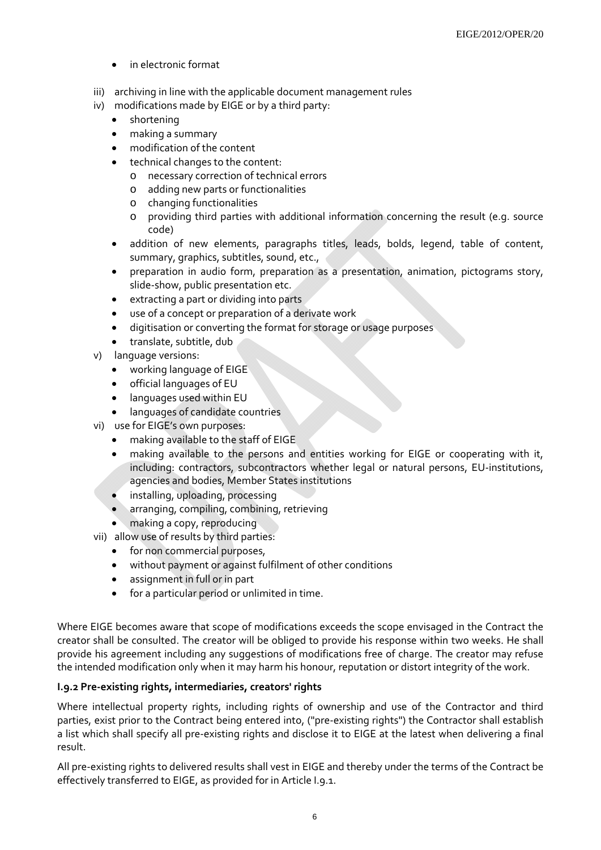- in electronic format
- iii) archiving in line with the applicable document management rules
- iv) modifications made by EIGE or by a third party:
	- shortening
	- making a summary
	- modification of the content
	- technical changes to the content:
		- o necessary correction of technical errors
		- o adding new parts or functionalities
		- o changing functionalities
		- o providing third parties with additional information concerning the result (e.g. source code)
	- addition of new elements, paragraphs titles, leads, bolds, legend, table of content, summary, graphics, subtitles, sound, etc.,
	- preparation in audio form, preparation as a presentation, animation, pictograms story, slide-show, public presentation etc.
	- extracting a part or dividing into parts
	- use of a concept or preparation of a derivate work
	- digitisation or converting the format for storage or usage purposes
	- translate, subtitle, dub
- v) language versions:
	- working language of EIGE
	- official languages of EU
	- languages used within EU
	- languages of candidate countries
- vi) use for EIGE's own purposes:
	- making available to the staff of EIGE
	- making available to the persons and entities working for EIGE or cooperating with it, including: contractors, subcontractors whether legal or natural persons, EU-institutions, agencies and bodies, Member States institutions
	- installing, uploading, processing
	- arranging, compiling, combining, retrieving
	- making a copy, reproducing
- vii) allow use of results by third parties:
	- for non commercial purposes,
	- without payment or against fulfilment of other conditions
	- assignment in full or in part
	- for a particular period or unlimited in time.

Where EIGE becomes aware that scope of modifications exceeds the scope envisaged in the Contract the creator shall be consulted. The creator will be obliged to provide his response within two weeks. He shall provide his agreement including any suggestions of modifications free of charge. The creator may refuse the intended modification only when it may harm his honour, reputation or distort integrity of the work.

#### **I.9.2 Pre-existing rights, intermediaries, creators' rights**

Where intellectual property rights, including rights of ownership and use of the Contractor and third parties, exist prior to the Contract being entered into, ("pre-existing rights") the Contractor shall establish a list which shall specify all pre-existing rights and disclose it to EIGE at the latest when delivering a final result.

All pre-existing rights to delivered results shall vest in EIGE and thereby under the terms of the Contract be effectively transferred to EIGE, as provided for in Article I.9.1.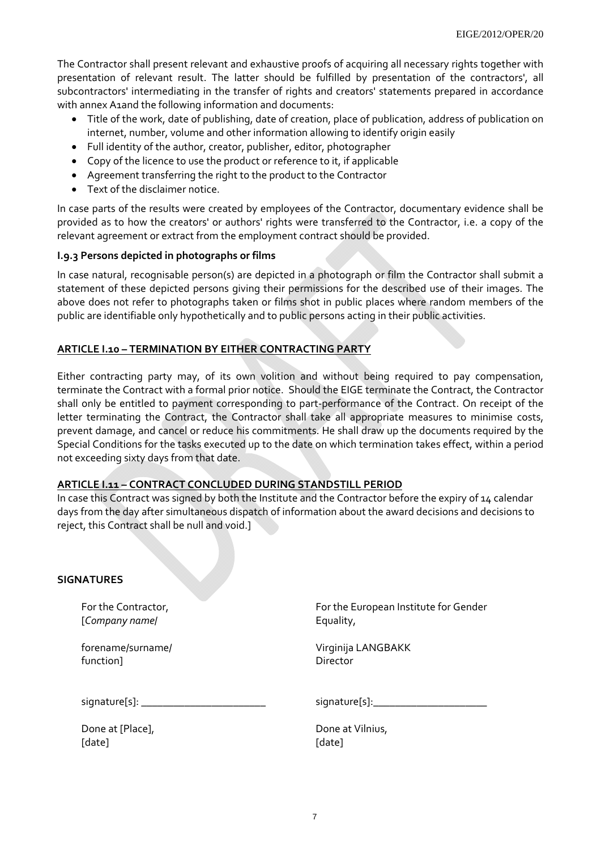The Contractor shall present relevant and exhaustive proofs of acquiring all necessary rights together with presentation of relevant result. The latter should be fulfilled by presentation of the contractors', all subcontractors' intermediating in the transfer of rights and creators' statements prepared in accordance with annex A1and the following information and documents:

- Title of the work, date of publishing, date of creation, place of publication, address of publication on internet, number, volume and other information allowing to identify origin easily
- Full identity of the author, creator, publisher, editor, photographer
- Copy of the licence to use the product or reference to it, if applicable
- Agreement transferring the right to the product to the Contractor
- Text of the disclaimer notice.

In case parts of the results were created by employees of the Contractor, documentary evidence shall be provided as to how the creators' or authors' rights were transferred to the Contractor, i.e. a copy of the relevant agreement or extract from the employment contract should be provided.

#### **I.9.3 Persons depicted in photographs or films**

In case natural, recognisable person(s) are depicted in a photograph or film the Contractor shall submit a statement of these depicted persons giving their permissions for the described use of their images. The above does not refer to photographs taken or films shot in public places where random members of the public are identifiable only hypothetically and to public persons acting in their public activities.

# **ARTICLE I.10 – TERMINATION BY EITHER CONTRACTING PARTY**

Either contracting party may, of its own volition and without being required to pay compensation, terminate the Contract with a formal prior notice. Should the EIGE terminate the Contract, the Contractor shall only be entitled to payment corresponding to part-performance of the Contract. On receipt of the letter terminating the Contract, the Contractor shall take all appropriate measures to minimise costs, prevent damage, and cancel or reduce his commitments. He shall draw up the documents required by the Special Conditions for the tasks executed up to the date on which termination takes effect, within a period not exceeding sixty days from that date.

#### **ARTICLE I.11 – CONTRACT CONCLUDED DURING STANDSTILL PERIOD**

In case this Contract was signed by both the Institute and the Contractor before the expiry of 14 calendar days from the day after simultaneous dispatch of information about the award decisions and decisions to reject, this Contract shall be null and void.]

#### **SIGNATURES**

For the Contractor, [*Company name*/

forename/surname/ function]

For the European Institute for Gender Equality,

Virginija LANGBAKK Director

signature[s]: \_\_\_\_\_\_\_\_\_\_\_\_\_\_\_\_\_\_\_\_\_\_\_

Done at [Place], [date]

signature[s]:\_\_\_\_\_\_\_\_\_\_\_\_\_\_\_\_\_\_\_\_\_

Done at Vilnius, [date]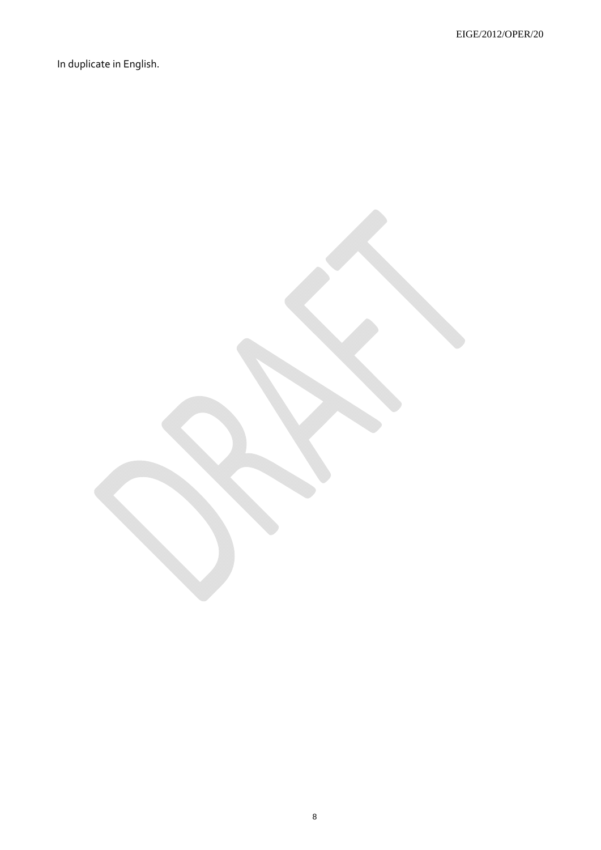In duplicate in English.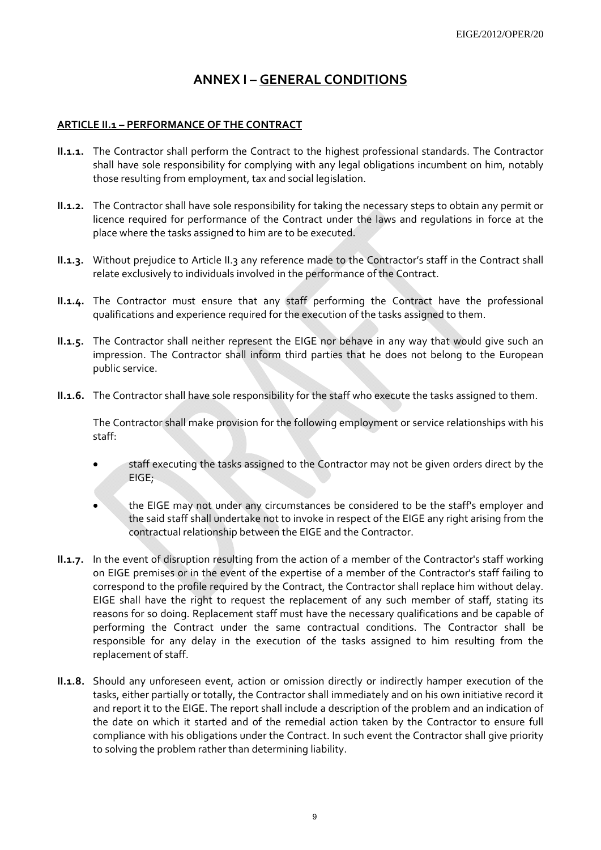# **ANNEX I – GENERAL CONDITIONS**

# **ARTICLE II.1 – PERFORMANCE OF THE CONTRACT**

- **II.1.1.** The Contractor shall perform the Contract to the highest professional standards. The Contractor shall have sole responsibility for complying with any legal obligations incumbent on him, notably those resulting from employment, tax and social legislation.
- **II.1.2.** The Contractor shall have sole responsibility for taking the necessary steps to obtain any permit or licence required for performance of the Contract under the laws and regulations in force at the place where the tasks assigned to him are to be executed.
- **II.1.3.** Without prejudice to Article II.3 any reference made to the Contractor's staff in the Contract shall relate exclusively to individuals involved in the performance of the Contract.
- **II.1.4.** The Contractor must ensure that any staff performing the Contract have the professional qualifications and experience required for the execution of the tasks assigned to them.
- **II.1.5.** The Contractor shall neither represent the EIGE nor behave in any way that would give such an impression. The Contractor shall inform third parties that he does not belong to the European public service.
- **II.1.6.** The Contractor shall have sole responsibility for the staff who execute the tasks assigned to them.

The Contractor shall make provision for the following employment or service relationships with his staff:

- staff executing the tasks assigned to the Contractor may not be given orders direct by the EIGE;
- the EIGE may not under any circumstances be considered to be the staff's employer and the said staff shall undertake not to invoke in respect of the EIGE any right arising from the contractual relationship between the EIGE and the Contractor.
- **II.1.7.** In the event of disruption resulting from the action of a member of the Contractor's staff working on EIGE premises or in the event of the expertise of a member of the Contractor's staff failing to correspond to the profile required by the Contract, the Contractor shall replace him without delay. EIGE shall have the right to request the replacement of any such member of staff, stating its reasons for so doing. Replacement staff must have the necessary qualifications and be capable of performing the Contract under the same contractual conditions. The Contractor shall be responsible for any delay in the execution of the tasks assigned to him resulting from the replacement of staff.
- **II.1.8.** Should any unforeseen event, action or omission directly or indirectly hamper execution of the tasks, either partially or totally, the Contractor shall immediately and on his own initiative record it and report it to the EIGE. The report shall include a description of the problem and an indication of the date on which it started and of the remedial action taken by the Contractor to ensure full compliance with his obligations under the Contract. In such event the Contractor shall give priority to solving the problem rather than determining liability.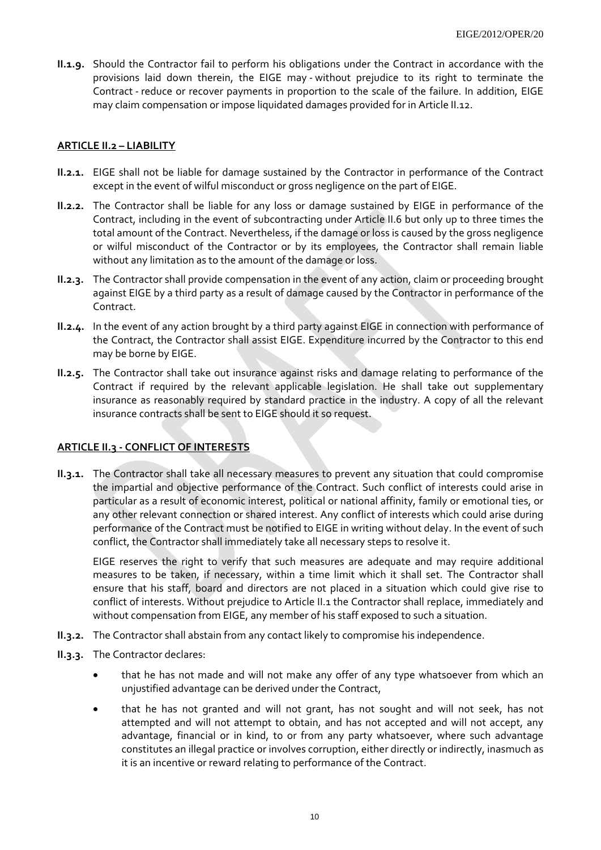**II.1.9.** Should the Contractor fail to perform his obligations under the Contract in accordance with the provisions laid down therein, the EIGE may - without prejudice to its right to terminate the Contract - reduce or recover payments in proportion to the scale of the failure. In addition, EIGE may claim compensation or impose liquidated damages provided for in Article II.12.

# **ARTICLE II.2 – LIABILITY**

- **II.2.1.** EIGE shall not be liable for damage sustained by the Contractor in performance of the Contract except in the event of wilful misconduct or gross negligence on the part of EIGE.
- **II.2.2.** The Contractor shall be liable for any loss or damage sustained by EIGE in performance of the Contract, including in the event of subcontracting under Article II.6 but only up to three times the total amount of the Contract. Nevertheless, if the damage or loss is caused by the gross negligence or wilful misconduct of the Contractor or by its employees, the Contractor shall remain liable without any limitation as to the amount of the damage or loss.
- **II.2.3.** The Contractor shall provide compensation in the event of any action, claim or proceeding brought against EIGE by a third party as a result of damage caused by the Contractor in performance of the Contract.
- **II.2.4.** In the event of any action brought by a third party against EIGE in connection with performance of the Contract, the Contractor shall assist EIGE. Expenditure incurred by the Contractor to this end may be borne by EIGE.
- **II.2.5.** The Contractor shall take out insurance against risks and damage relating to performance of the Contract if required by the relevant applicable legislation. He shall take out supplementary insurance as reasonably required by standard practice in the industry. A copy of all the relevant insurance contracts shall be sent to EIGE should it so request.

# **ARTICLE II.3 - CONFLICT OF INTERESTS**

**II.3.1.** The Contractor shall take all necessary measures to prevent any situation that could compromise the impartial and objective performance of the Contract. Such conflict of interests could arise in particular as a result of economic interest, political or national affinity, family or emotional ties, or any other relevant connection or shared interest. Any conflict of interests which could arise during performance of the Contract must be notified to EIGE in writing without delay. In the event of such conflict, the Contractor shall immediately take all necessary steps to resolve it.

EIGE reserves the right to verify that such measures are adequate and may require additional measures to be taken, if necessary, within a time limit which it shall set. The Contractor shall ensure that his staff, board and directors are not placed in a situation which could give rise to conflict of interests. Without prejudice to Article II.1 the Contractor shall replace, immediately and without compensation from EIGE, any member of his staff exposed to such a situation.

- **II.3.2.** The Contractor shall abstain from any contact likely to compromise his independence.
- **II.3.3.** The Contractor declares:
	- that he has not made and will not make any offer of any type whatsoever from which an unjustified advantage can be derived under the Contract,
	- that he has not granted and will not grant, has not sought and will not seek, has not attempted and will not attempt to obtain, and has not accepted and will not accept, any advantage, financial or in kind, to or from any party whatsoever, where such advantage constitutes an illegal practice or involves corruption, either directly or indirectly, inasmuch as it is an incentive or reward relating to performance of the Contract.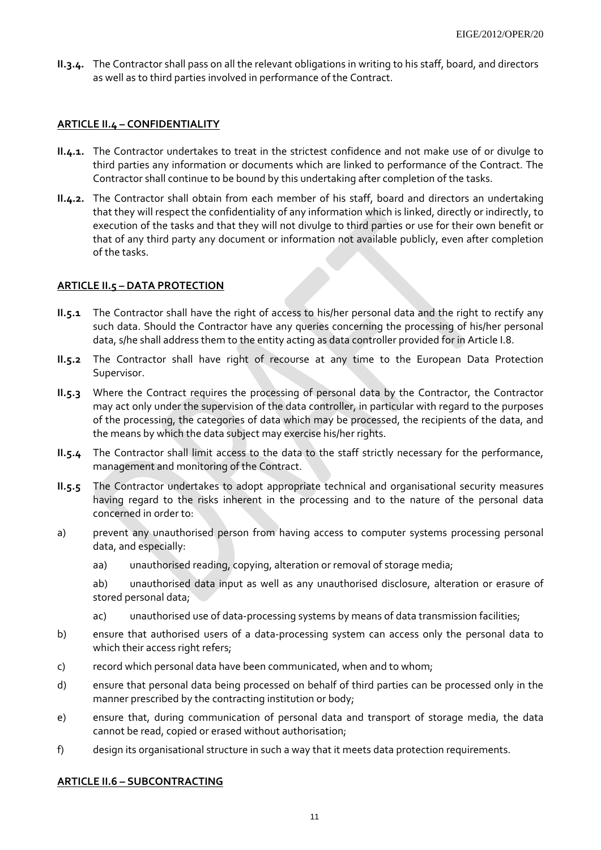**II.3.4.** The Contractor shall pass on all the relevant obligations in writing to his staff, board, and directors as well as to third parties involved in performance of the Contract.

#### **ARTICLE II.4 – CONFIDENTIALITY**

- **II.4.1.** The Contractor undertakes to treat in the strictest confidence and not make use of or divulge to third parties any information or documents which are linked to performance of the Contract. The Contractor shall continue to be bound by this undertaking after completion of the tasks.
- **II.4.2.** The Contractor shall obtain from each member of his staff, board and directors an undertaking that they will respect the confidentiality of any information which is linked, directly or indirectly, to execution of the tasks and that they will not divulge to third parties or use for their own benefit or that of any third party any document or information not available publicly, even after completion of the tasks.

#### **ARTICLE II.5 – DATA PROTECTION**

- **II.5.1** The Contractor shall have the right of access to his/her personal data and the right to rectify any such data. Should the Contractor have any queries concerning the processing of his/her personal data, s/he shall address them to the entity acting as data controller provided for in Article I.8.
- **II.5.2** The Contractor shall have right of recourse at any time to the European Data Protection Supervisor.
- **II.5.3** Where the Contract requires the processing of personal data by the Contractor, the Contractor may act only under the supervision of the data controller, in particular with regard to the purposes of the processing, the categories of data which may be processed, the recipients of the data, and the means by which the data subject may exercise his/her rights.
- **II.5.4** The Contractor shall limit access to the data to the staff strictly necessary for the performance, management and monitoring of the Contract.
- **II.5.5** The Contractor undertakes to adopt appropriate technical and organisational security measures having regard to the risks inherent in the processing and to the nature of the personal data concerned in order to:
- a) prevent any unauthorised person from having access to computer systems processing personal data, and especially:
	- aa) unauthorised reading, copying, alteration or removal of storage media;

ab) unauthorised data input as well as any unauthorised disclosure, alteration or erasure of stored personal data;

- ac) unauthorised use of data-processing systems by means of data transmission facilities;
- b) ensure that authorised users of a data-processing system can access only the personal data to which their access right refers;
- c) record which personal data have been communicated, when and to whom;
- d) ensure that personal data being processed on behalf of third parties can be processed only in the manner prescribed by the contracting institution or body;
- e) ensure that, during communication of personal data and transport of storage media, the data cannot be read, copied or erased without authorisation;
- f) design its organisational structure in such a way that it meets data protection requirements.

#### **ARTICLE II.6 – SUBCONTRACTING**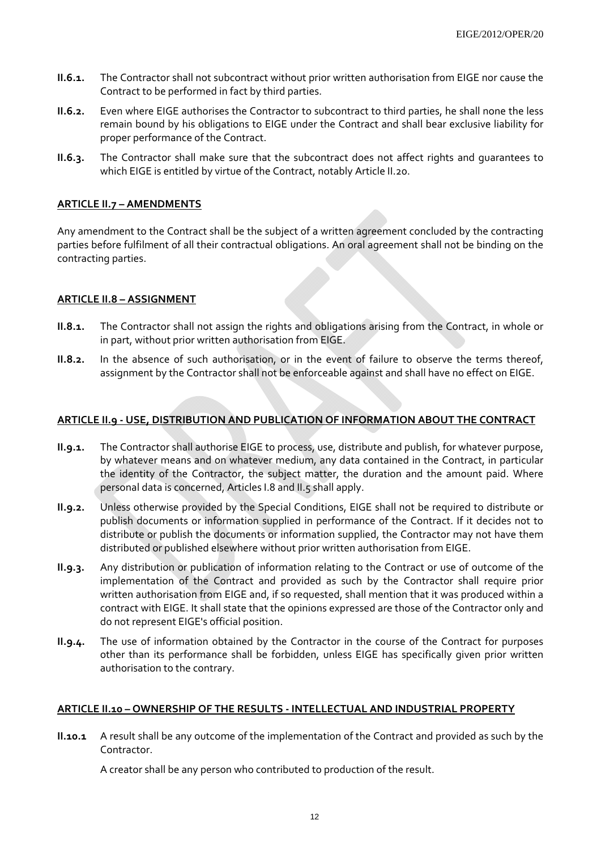- **II.6.1.** The Contractor shall not subcontract without prior written authorisation from EIGE nor cause the Contract to be performed in fact by third parties.
- **II.6.2.** Even where EIGE authorises the Contractor to subcontract to third parties, he shall none the less remain bound by his obligations to EIGE under the Contract and shall bear exclusive liability for proper performance of the Contract.
- **II.6.3.** The Contractor shall make sure that the subcontract does not affect rights and guarantees to which EIGE is entitled by virtue of the Contract, notably Article II.20.

# **ARTICLE II.7 – AMENDMENTS**

Any amendment to the Contract shall be the subject of a written agreement concluded by the contracting parties before fulfilment of all their contractual obligations. An oral agreement shall not be binding on the contracting parties.

#### **ARTICLE II.8 – ASSIGNMENT**

- **II.8.1.** The Contractor shall not assign the rights and obligations arising from the Contract, in whole or in part, without prior written authorisation from EIGE.
- **II.8.2.** In the absence of such authorisation, or in the event of failure to observe the terms thereof, assignment by the Contractor shall not be enforceable against and shall have no effect on EIGE.

# **ARTICLE II.9 - USE, DISTRIBUTION AND PUBLICATION OF INFORMATION ABOUT THE CONTRACT**

- **II.9.1.** The Contractor shall authorise EIGE to process, use, distribute and publish, for whatever purpose, by whatever means and on whatever medium, any data contained in the Contract, in particular the identity of the Contractor, the subject matter, the duration and the amount paid. Where personal data is concerned, Articles I.8 and II.5 shall apply.
- **II.9.2.** Unless otherwise provided by the Special Conditions, EIGE shall not be required to distribute or publish documents or information supplied in performance of the Contract. If it decides not to distribute or publish the documents or information supplied, the Contractor may not have them distributed or published elsewhere without prior written authorisation from EIGE.
- **II.9.3.** Any distribution or publication of information relating to the Contract or use of outcome of the implementation of the Contract and provided as such by the Contractor shall require prior written authorisation from EIGE and, if so requested, shall mention that it was produced within a contract with EIGE. It shall state that the opinions expressed are those of the Contractor only and do not represent EIGE's official position.
- **II.9.4.** The use of information obtained by the Contractor in the course of the Contract for purposes other than its performance shall be forbidden, unless EIGE has specifically given prior written authorisation to the contrary.

#### **ARTICLE II.10 – OWNERSHIP OF THE RESULTS - INTELLECTUAL AND INDUSTRIAL PROPERTY**

**II.10.1** A result shall be any outcome of the implementation of the Contract and provided as such by the Contractor.

A creator shall be any person who contributed to production of the result.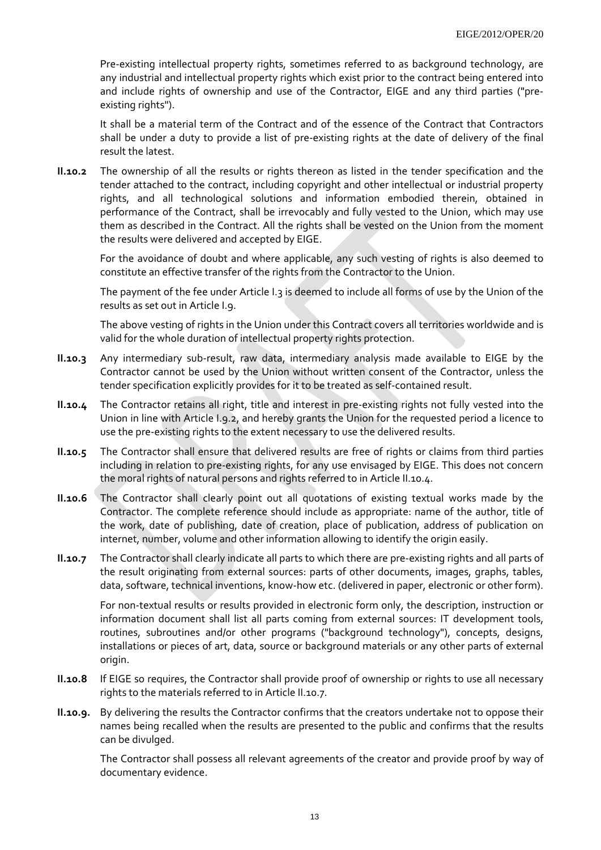Pre-existing intellectual property rights, sometimes referred to as background technology, are any industrial and intellectual property rights which exist prior to the contract being entered into and include rights of ownership and use of the Contractor, EIGE and any third parties ("preexisting rights").

It shall be a material term of the Contract and of the essence of the Contract that Contractors shall be under a duty to provide a list of pre-existing rights at the date of delivery of the final result the latest.

**II.10.2** The ownership of all the results or rights thereon as listed in the tender specification and the tender attached to the contract, including copyright and other intellectual or industrial property rights, and all technological solutions and information embodied therein, obtained in performance of the Contract, shall be irrevocably and fully vested to the Union, which may use them as described in the Contract. All the rights shall be vested on the Union from the moment the results were delivered and accepted by EIGE.

For the avoidance of doubt and where applicable, any such vesting of rights is also deemed to constitute an effective transfer of the rights from the Contractor to the Union.

The payment of the fee under Article I.3 is deemed to include all forms of use by the Union of the results as set out in Article I.9.

The above vesting of rights in the Union under this Contract covers all territories worldwide and is valid for the whole duration of intellectual property rights protection.

- **II.10.3** Any intermediary sub-result, raw data, intermediary analysis made available to EIGE by the Contractor cannot be used by the Union without written consent of the Contractor, unless the tender specification explicitly provides for it to be treated as self-contained result.
- **II.10.4** The Contractor retains all right, title and interest in pre-existing rights not fully vested into the Union in line with Article I.9.2, and hereby grants the Union for the requested period a licence to use the pre-existing rights to the extent necessary to use the delivered results.
- **II.10.5** The Contractor shall ensure that delivered results are free of rights or claims from third parties including in relation to pre-existing rights, for any use envisaged by EIGE. This does not concern the moral rights of natural persons and rights referred to in Article II.10.4.
- **II.10.6** The Contractor shall clearly point out all quotations of existing textual works made by the Contractor. The complete reference should include as appropriate: name of the author, title of the work, date of publishing, date of creation, place of publication, address of publication on internet, number, volume and other information allowing to identify the origin easily.
- **II.10.7** The Contractor shall clearly indicate all parts to which there are pre-existing rights and all parts of the result originating from external sources: parts of other documents, images, graphs, tables, data, software, technical inventions, know-how etc. (delivered in paper, electronic or other form).

For non-textual results or results provided in electronic form only, the description, instruction or information document shall list all parts coming from external sources: IT development tools, routines, subroutines and/or other programs ("background technology"), concepts, designs, installations or pieces of art, data, source or background materials or any other parts of external origin.

- **II.10.8** If EIGE so requires, the Contractor shall provide proof of ownership or rights to use all necessary rights to the materials referred to in Article II.10.7.
- **II.10.9.** By delivering the results the Contractor confirms that the creators undertake not to oppose their names being recalled when the results are presented to the public and confirms that the results can be divulged.

The Contractor shall possess all relevant agreements of the creator and provide proof by way of documentary evidence.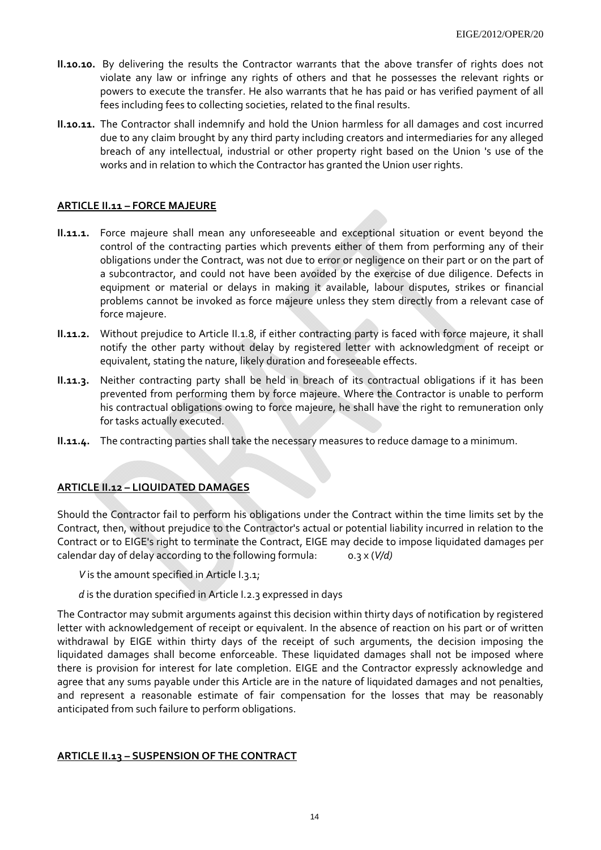- **II.10.10.** By delivering the results the Contractor warrants that the above transfer of rights does not violate any law or infringe any rights of others and that he possesses the relevant rights or powers to execute the transfer. He also warrants that he has paid or has verified payment of all fees including fees to collecting societies, related to the final results.
- **II.10.11.** The Contractor shall indemnify and hold the Union harmless for all damages and cost incurred due to any claim brought by any third party including creators and intermediaries for any alleged breach of any intellectual, industrial or other property right based on the Union 's use of the works and in relation to which the Contractor has granted the Union user rights.

## **ARTICLE II.11 – FORCE MAJEURE**

- **II.11.1.** Force majeure shall mean any unforeseeable and exceptional situation or event beyond the control of the contracting parties which prevents either of them from performing any of their obligations under the Contract, was not due to error or negligence on their part or on the part of a subcontractor, and could not have been avoided by the exercise of due diligence. Defects in equipment or material or delays in making it available, labour disputes, strikes or financial problems cannot be invoked as force majeure unless they stem directly from a relevant case of force majeure.
- **II.11.2.** Without prejudice to Article II.1.8, if either contracting party is faced with force majeure, it shall notify the other party without delay by registered letter with acknowledgment of receipt or equivalent, stating the nature, likely duration and foreseeable effects.
- **II.11.3.** Neither contracting party shall be held in breach of its contractual obligations if it has been prevented from performing them by force majeure. Where the Contractor is unable to perform his contractual obligations owing to force majeure, he shall have the right to remuneration only for tasks actually executed.
- **II.11.4.** The contracting parties shall take the necessary measures to reduce damage to a minimum.

# **ARTICLE II.12 – LIQUIDATED DAMAGES**

Should the Contractor fail to perform his obligations under the Contract within the time limits set by the Contract, then, without prejudice to the Contractor's actual or potential liability incurred in relation to the Contract or to EIGE's right to terminate the Contract, EIGE may decide to impose liquidated damages per calendar day of delay according to the following formula: 0.3 x (*V/d)*

- *V* is the amount specified in Article I.3.1;
- *d* is the duration specified in Article I.2.3 expressed in days

The Contractor may submit arguments against this decision within thirty days of notification by registered letter with acknowledgement of receipt or equivalent. In the absence of reaction on his part or of written withdrawal by EIGE within thirty days of the receipt of such arguments, the decision imposing the liquidated damages shall become enforceable. These liquidated damages shall not be imposed where there is provision for interest for late completion. EIGE and the Contractor expressly acknowledge and agree that any sums payable under this Article are in the nature of liquidated damages and not penalties, and represent a reasonable estimate of fair compensation for the losses that may be reasonably anticipated from such failure to perform obligations.

#### **ARTICLE II.13 – SUSPENSION OF THE CONTRACT**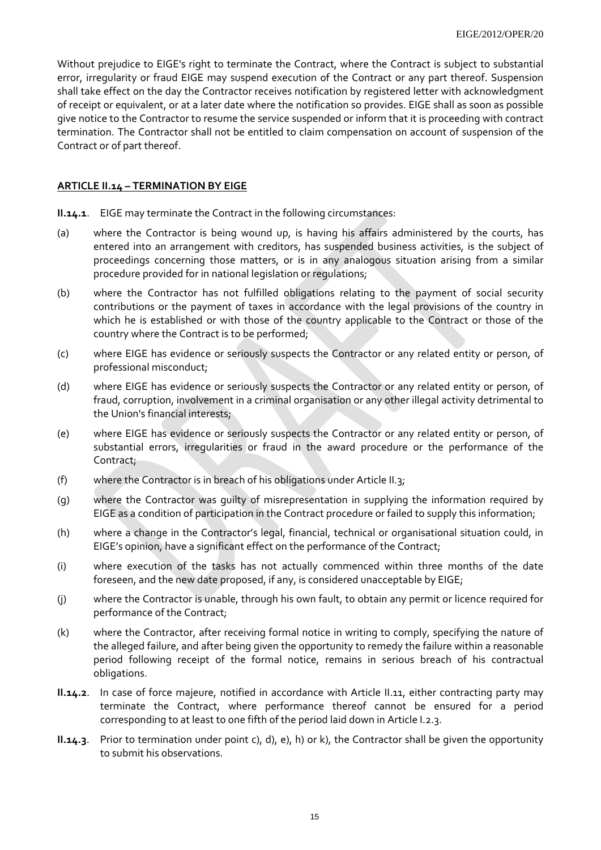Without prejudice to EIGE's right to terminate the Contract, where the Contract is subject to substantial error, irregularity or fraud EIGE may suspend execution of the Contract or any part thereof. Suspension shall take effect on the day the Contractor receives notification by registered letter with acknowledgment of receipt or equivalent, or at a later date where the notification so provides. EIGE shall as soon as possible give notice to the Contractor to resume the service suspended or inform that it is proceeding with contract termination. The Contractor shall not be entitled to claim compensation on account of suspension of the Contract or of part thereof.

#### **ARTICLE II.14 – TERMINATION BY EIGE**

**II.14.1**. EIGE may terminate the Contract in the following circumstances:

- (a) where the Contractor is being wound up, is having his affairs administered by the courts, has entered into an arrangement with creditors, has suspended business activities, is the subject of proceedings concerning those matters, or is in any analogous situation arising from a similar procedure provided for in national legislation or regulations;
- (b) where the Contractor has not fulfilled obligations relating to the payment of social security contributions or the payment of taxes in accordance with the legal provisions of the country in which he is established or with those of the country applicable to the Contract or those of the country where the Contract is to be performed;
- (c) where EIGE has evidence or seriously suspects the Contractor or any related entity or person, of professional misconduct;
- (d) where EIGE has evidence or seriously suspects the Contractor or any related entity or person, of fraud, corruption, involvement in a criminal organisation or any other illegal activity detrimental to the Union's financial interests;
- (e) where EIGE has evidence or seriously suspects the Contractor or any related entity or person, of substantial errors, irregularities or fraud in the award procedure or the performance of the Contract;
- (f) where the Contractor is in breach of his obligations under Article II.3;
- (g) where the Contractor was guilty of misrepresentation in supplying the information required by EIGE as a condition of participation in the Contract procedure or failed to supply this information;
- (h) where a change in the Contractor's legal, financial, technical or organisational situation could, in EIGE's opinion, have a significant effect on the performance of the Contract;
- (i) where execution of the tasks has not actually commenced within three months of the date foreseen, and the new date proposed, if any, is considered unacceptable by EIGE;
- (j) where the Contractor is unable, through his own fault, to obtain any permit or licence required for performance of the Contract;
- (k) where the Contractor, after receiving formal notice in writing to comply, specifying the nature of the alleged failure, and after being given the opportunity to remedy the failure within a reasonable period following receipt of the formal notice, remains in serious breach of his contractual obligations.
- **II.14.2**. In case of force majeure, notified in accordance with Article II.11, either contracting party may terminate the Contract, where performance thereof cannot be ensured for a period corresponding to at least to one fifth of the period laid down in Article I.2.3.
- **II.14.3**. Prior to termination under point c), d), e), h) or k), the Contractor shall be given the opportunity to submit his observations.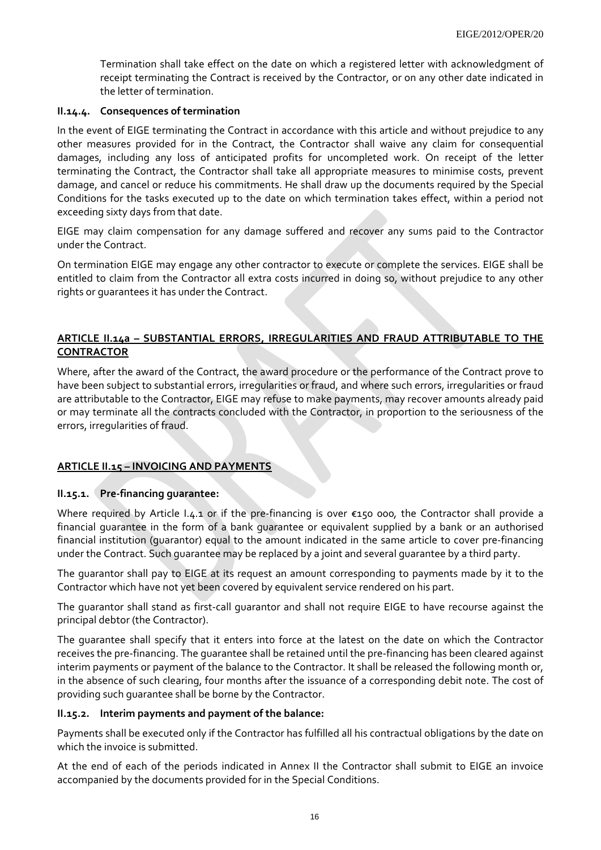Termination shall take effect on the date on which a registered letter with acknowledgment of receipt terminating the Contract is received by the Contractor, or on any other date indicated in the letter of termination.

#### **II.14.4. Consequences of termination**

In the event of EIGE terminating the Contract in accordance with this article and without prejudice to any other measures provided for in the Contract, the Contractor shall waive any claim for consequential damages, including any loss of anticipated profits for uncompleted work. On receipt of the letter terminating the Contract, the Contractor shall take all appropriate measures to minimise costs, prevent damage, and cancel or reduce his commitments. He shall draw up the documents required by the Special Conditions for the tasks executed up to the date on which termination takes effect, within a period not exceeding sixty days from that date.

EIGE may claim compensation for any damage suffered and recover any sums paid to the Contractor under the Contract.

On termination EIGE may engage any other contractor to execute or complete the services. EIGE shall be entitled to claim from the Contractor all extra costs incurred in doing so, without prejudice to any other rights or guarantees it has under the Contract.

# **ARTICLE II.14a – SUBSTANTIAL ERRORS, IRREGULARITIES AND FRAUD ATTRIBUTABLE TO THE CONTRACTOR**

Where, after the award of the Contract, the award procedure or the performance of the Contract prove to have been subject to substantial errors, irregularities or fraud, and where such errors, irregularities or fraud are attributable to the Contractor, EIGE may refuse to make payments, may recover amounts already paid or may terminate all the contracts concluded with the Contractor, in proportion to the seriousness of the errors, irregularities of fraud.

#### **ARTICLE II.15 – INVOICING AND PAYMENTS**

#### **II.15.1. Pre-financing guarantee:**

Where required by Article I.4.1 or if the pre-financing is over €150 000*,* the Contractor shall provide a financial guarantee in the form of a bank guarantee or equivalent supplied by a bank or an authorised financial institution (guarantor) equal to the amount indicated in the same article to cover pre-financing under the Contract. Such guarantee may be replaced by a joint and several guarantee by a third party.

The guarantor shall pay to EIGE at its request an amount corresponding to payments made by it to the Contractor which have not yet been covered by equivalent service rendered on his part.

The guarantor shall stand as first-call guarantor and shall not require EIGE to have recourse against the principal debtor (the Contractor).

The guarantee shall specify that it enters into force at the latest on the date on which the Contractor receives the pre-financing. The guarantee shall be retained until the pre-financing has been cleared against interim payments or payment of the balance to the Contractor. It shall be released the following month or, in the absence of such clearing, four months after the issuance of a corresponding debit note. The cost of providing such guarantee shall be borne by the Contractor.

#### **II.15.2. Interim payments and payment of the balance:**

Payments shall be executed only if the Contractor has fulfilled all his contractual obligations by the date on which the invoice is submitted.

At the end of each of the periods indicated in Annex II the Contractor shall submit to EIGE an invoice accompanied by the documents provided for in the Special Conditions.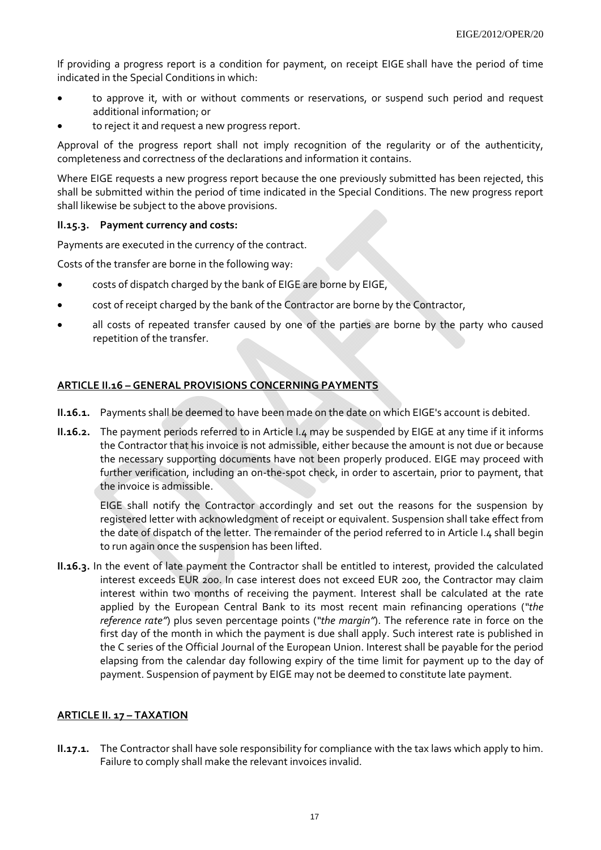If providing a progress report is a condition for payment, on receipt EIGE shall have the period of time indicated in the Special Conditions in which:

- to approve it, with or without comments or reservations, or suspend such period and request additional information; or
- to reject it and request a new progress report.

Approval of the progress report shall not imply recognition of the regularity or of the authenticity, completeness and correctness of the declarations and information it contains.

Where EIGE requests a new progress report because the one previously submitted has been rejected, this shall be submitted within the period of time indicated in the Special Conditions. The new progress report shall likewise be subject to the above provisions.

#### **II.15.3. Payment currency and costs:**

Payments are executed in the currency of the contract.

Costs of the transfer are borne in the following way:

- costs of dispatch charged by the bank of EIGE are borne by EIGE,
- cost of receipt charged by the bank of the Contractor are borne by the Contractor,
- all costs of repeated transfer caused by one of the parties are borne by the party who caused repetition of the transfer.

# **ARTICLE II.16 – GENERAL PROVISIONS CONCERNING PAYMENTS**

- **II.16.1.** Payments shall be deemed to have been made on the date on which EIGE's account is debited.
- **II.16.2.** The payment periods referred to in Article I.4 may be suspended by EIGE at any time if it informs the Contractor that his invoice is not admissible, either because the amount is not due or because the necessary supporting documents have not been properly produced. EIGE may proceed with further verification, including an on-the-spot check, in order to ascertain, prior to payment, that the invoice is admissible.

EIGE shall notify the Contractor accordingly and set out the reasons for the suspension by registered letter with acknowledgment of receipt or equivalent. Suspension shall take effect from the date of dispatch of the letter*.* The remainder of the period referred to in Article I.4 shall begin to run again once the suspension has been lifted.

**II.16.3.** In the event of late payment the Contractor shall be entitled to interest, provided the calculated interest exceeds EUR 200. In case interest does not exceed EUR 200, the Contractor may claim interest within two months of receiving the payment. Interest shall be calculated at the rate applied by the European Central Bank to its most recent main refinancing operations (*"the reference rate"*) plus seven percentage points (*"the margin"*). The reference rate in force on the first day of the month in which the payment is due shall apply. Such interest rate is published in the C series of the Official Journal of the European Union. Interest shall be payable for the period elapsing from the calendar day following expiry of the time limit for payment up to the day of payment. Suspension of payment by EIGE may not be deemed to constitute late payment.

# **ARTICLE II. 17 – TAXATION**

**II.17.1.** The Contractor shall have sole responsibility for compliance with the tax laws which apply to him. Failure to comply shall make the relevant invoices invalid.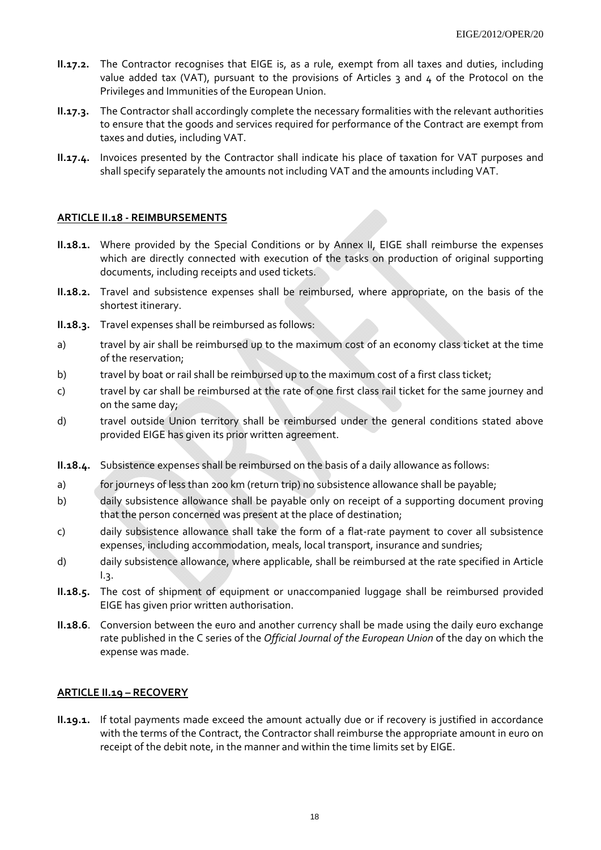- **II.17.2.** The Contractor recognises that EIGE is, as a rule, exempt from all taxes and duties, including value added tax (VAT), pursuant to the provisions of Articles  $\frac{1}{3}$  and  $\frac{1}{4}$  of the Protocol on the Privileges and Immunities of the European Union.
- **II.17.3.** The Contractor shall accordingly complete the necessary formalities with the relevant authorities to ensure that the goods and services required for performance of the Contract are exempt from taxes and duties, including VAT.
- **II.17.4.** Invoices presented by the Contractor shall indicate his place of taxation for VAT purposes and shall specify separately the amounts not including VAT and the amounts including VAT.

#### **ARTICLE II.18 - REIMBURSEMENTS**

- **II.18.1.** Where provided by the Special Conditions or by Annex II, EIGE shall reimburse the expenses which are directly connected with execution of the tasks on production of original supporting documents, including receipts and used tickets.
- **II.18.2.** Travel and subsistence expenses shall be reimbursed, where appropriate, on the basis of the shortest itinerary.
- **II.18.3.** Travel expenses shall be reimbursed as follows:
- a) travel by air shall be reimbursed up to the maximum cost of an economy class ticket at the time of the reservation;
- b) travel by boat or rail shall be reimbursed up to the maximum cost of a first class ticket;
- c) travel by car shall be reimbursed at the rate of one first class rail ticket for the same journey and on the same day;
- d) travel outside Union territory shall be reimbursed under the general conditions stated above provided EIGE has given its prior written agreement.
- **II.18.4.** Subsistence expenses shall be reimbursed on the basis of a daily allowance as follows:
- a) for journeys of less than 200 km (return trip) no subsistence allowance shall be payable;
- b) daily subsistence allowance shall be payable only on receipt of a supporting document proving that the person concerned was present at the place of destination;
- c) daily subsistence allowance shall take the form of a flat-rate payment to cover all subsistence expenses, including accommodation, meals, local transport, insurance and sundries;
- d) daily subsistence allowance, where applicable, shall be reimbursed at the rate specified in Article  $1.3.$
- **II.18.5.** The cost of shipment of equipment or unaccompanied luggage shall be reimbursed provided EIGE has given prior written authorisation.
- **II.18.6**. Conversion between the euro and another currency shall be made using the daily euro exchange rate published in the C series of the *Official Journal of the European Union* of the day on which the expense was made.

#### **ARTICLE II.19 – RECOVERY**

**II.19.1.** If total payments made exceed the amount actually due or if recovery is justified in accordance with the terms of the Contract, the Contractor shall reimburse the appropriate amount in euro on receipt of the debit note, in the manner and within the time limits set by EIGE.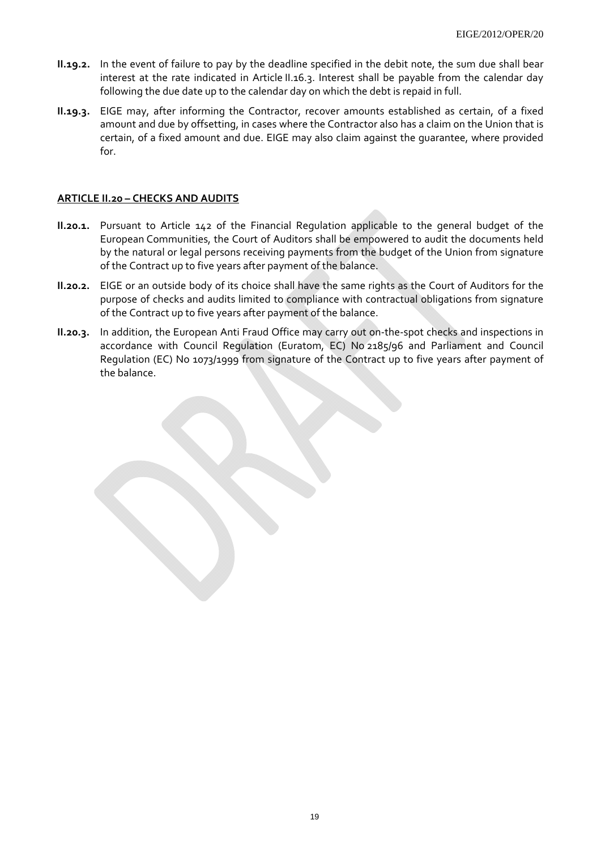- **II.19.2.** In the event of failure to pay by the deadline specified in the debit note, the sum due shall bear interest at the rate indicated in Article II.16.3. Interest shall be payable from the calendar day following the due date up to the calendar day on which the debt is repaid in full.
- **II.19.3.** EIGE may, after informing the Contractor, recover amounts established as certain, of a fixed amount and due by offsetting, in cases where the Contractor also has a claim on the Union that is certain, of a fixed amount and due. EIGE may also claim against the guarantee, where provided for.

#### **ARTICLE II.20 – CHECKS AND AUDITS**

- **II.20.1.** Pursuant to Article 142 of the Financial Regulation applicable to the general budget of the European Communities, the Court of Auditors shall be empowered to audit the documents held by the natural or legal persons receiving payments from the budget of the Union from signature of the Contract up to five years after payment of the balance.
- **II.20.2.** EIGE or an outside body of its choice shall have the same rights as the Court of Auditors for the purpose of checks and audits limited to compliance with contractual obligations from signature of the Contract up to five years after payment of the balance.
- **II.20.3.** In addition, the European Anti Fraud Office may carry out on-the-spot checks and inspections in accordance with Council Regulation (Euratom, EC) No 2185/96 and Parliament and Council Regulation (EC) No 1073/1999 from signature of the Contract up to five years after payment of the balance.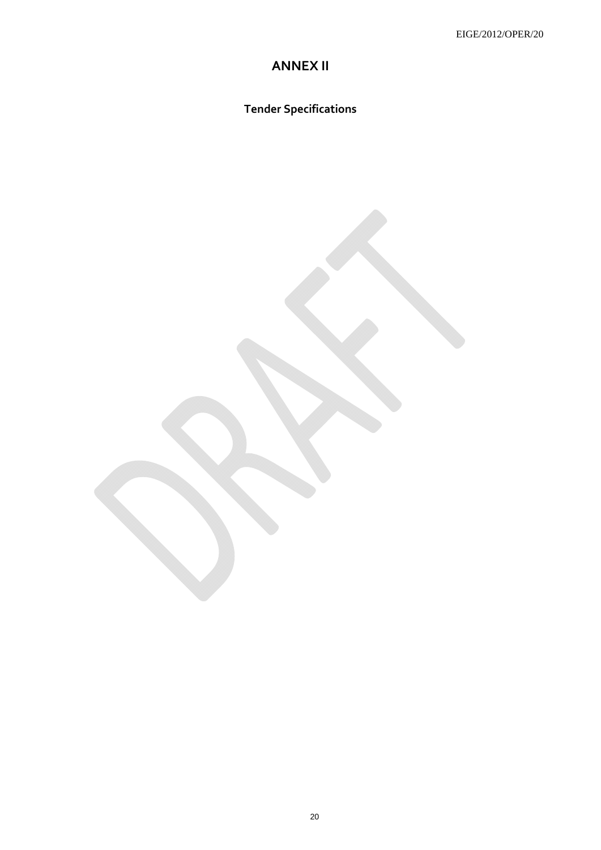# **ANNEX II**

**Tender Specifications**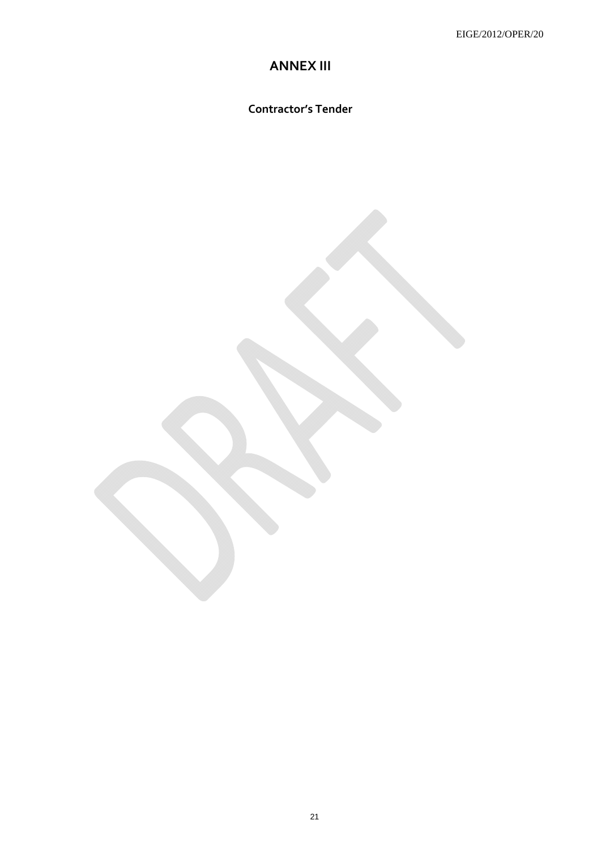# **ANNEX III**

**Contractor's Tender** 

21